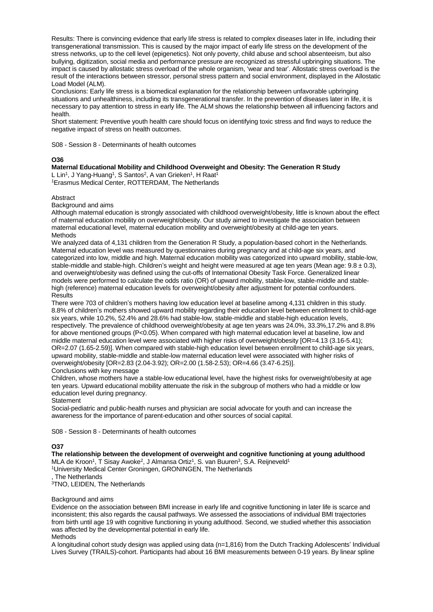Results: There is convincing evidence that early life stress is related to complex diseases later in life, including their transgenerational transmission. This is caused by the major impact of early life stress on the development of the stress networks, up to the cell level (epigenetics). Not only poverty, child abuse and school absenteeism, but also bullying, digitization, social media and performance pressure are recognized as stressful upbringing situations. The impact is caused by allostatic stress overload of the whole organism, 'wear and tear'. Allostatic stress overload is the result of the interactions between stressor, personal stress pattern and social environment, displayed in the Allostatic Load Model (ALM).

Conclusions: Early life stress is a biomedical explanation for the relationship between unfavorable upbringing situations and unhealthiness, including its transgenerational transfer. In the prevention of diseases later in life, it is necessary to pay attention to stress in early life. The ALM shows the relationship between all influencing factors and health.

Short statement: Preventive youth health care should focus on identifying toxic stress and find ways to reduce the negative impact of stress on health outcomes.

S08 - Session 8 - Determinants of health outcomes

## **O36**

# **Maternal Educational Mobility and Childhood Overweight and Obesity: The Generation R Study**

L Lin<sup>1</sup>, J Yang-Huang<sup>1</sup>, S Santos<sup>2</sup>, A van Grieken<sup>1</sup>, H Raat<sup>1</sup> <sup>1</sup>Erasmus Medical Center, ROTTERDAM, The Netherlands

### Abstract

Background and aims

Although maternal education is strongly associated with childhood overweight/obesity, little is known about the effect of maternal education mobility on overweight/obesity. Our study aimed to investigate the association between maternal educational level, maternal education mobility and overweight/obesity at child-age ten years. Methods

We analyzed data of 4,131 children from the Generation R Study, a population-based cohort in the Netherlands. Maternal education level was measured by questionnaires during pregnancy and at child-age six years, and categorized into low, middle and high. Maternal education mobility was categorized into upward mobility, stable-low, stable-middle and stable-high. Children's weight and height were measured at age ten years (Mean age:  $9.8 \pm 0.3$ ), and overweight/obesity was defined using the cut-offs of International Obesity Task Force. Generalized linear models were performed to calculate the odds ratio (OR) of upward mobility, stable-low, stable-middle and stablehigh (reference) maternal education levels for overweight/obesity after adjustment for potential confounders. **Results** 

There were 703 of children's mothers having low education level at baseline among 4,131 children in this study. 8.8% of children's mothers showed upward mobility regarding their education level between enrollment to child-age six years, while 10.2%, 52.4% and 28.6% had stable-low, stable-middle and stable-high education levels, respectively. The prevalence of childhood overweight/obesity at age ten years was 24.0%, 33.3%,17.2% and 8.8% for above mentioned groups (P<0.05). When compared with high maternal education level at baseline, low and middle maternal education level were associated with higher risks of overweight/obesity [OR=4.13 (3.16-5.41); OR=2.07 (1.65-2.59)]. When compared with stable-high education level between enrollment to child-age six years, upward mobility, stable-middle and stable-low maternal education level were associated with higher risks of overweight/obesity [OR=2.83 (2.04-3.92); OR=2.00 (1.58-2.53); OR=4.66 (3.47-6.25)]. Conclusions with key message

Children, whose mothers have a stable-low educational level, have the highest risks for overweight/obesity at age ten years. Upward educational mobility attenuate the risk in the subgroup of mothers who had a middle or low

# education level during pregnancy.

**Statement** 

Social-pediatric and public-health nurses and physician are social advocate for youth and can increase the awareness for the importance of parent-education and other sources of social capital.

S08 - Session 8 - Determinants of health outcomes

### **O37**

## **The relationship between the development of overweight and cognitive functioning at young adulthood**

MLA de Kroon<sup>1</sup>, T Sisay Awoke<sup>2</sup>, J Almansa Ortiz<sup>1</sup>, S. van Buuren<sup>3</sup>, S.A. Reijneveld<sup>1</sup>

<sup>1</sup>University Medical Center Groningen, GRONINGEN, The Netherlands

, The Netherlands

<sup>3</sup>TNO, LEIDEN, The Netherlands

Background and aims

Evidence on the association between BMI increase in early life and cognitive functioning in later life is scarce and inconsistent; this also regards the causal pathways. We assessed the associations of individual BMI trajectories from birth until age 19 with cognitive functioning in young adulthood. Second, we studied whether this association was affected by the developmental potential in early life.

# Methods

A longitudinal cohort study design was applied using data (n=1,816) from the Dutch Tracking Adolescents' Individual Lives Survey (TRAILS)-cohort. Participants had about 16 BMI measurements between 0-19 years. By linear spline